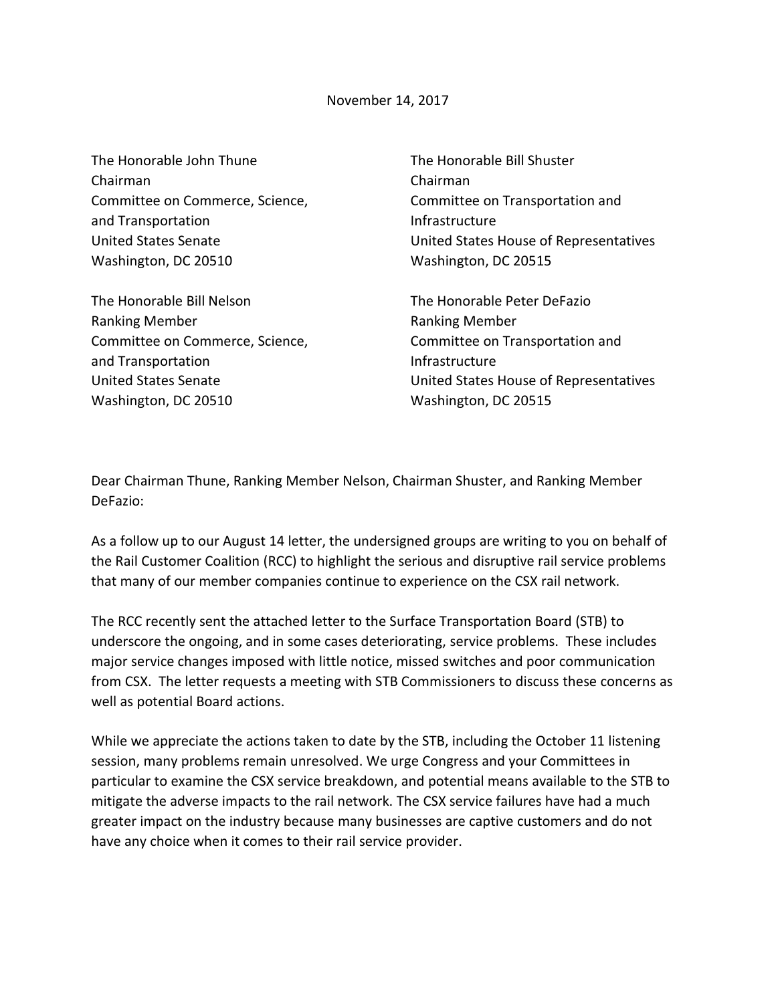The Honorable John Thune Chairman Committee on Commerce, Science, and Transportation United States Senate Washington, DC 20510

The Honorable Bill Nelson Ranking Member Committee on Commerce, Science, and Transportation United States Senate Washington, DC 20510

The Honorable Bill Shuster Chairman Committee on Transportation and Infrastructure United States House of Representatives Washington, DC 20515

The Honorable Peter DeFazio Ranking Member Committee on Transportation and Infrastructure United States House of Representatives Washington, DC 20515

Dear Chairman Thune, Ranking Member Nelson, Chairman Shuster, and Ranking Member DeFazio:

As a follow up to our August 14 letter, the undersigned groups are writing to you on behalf of the Rail Customer Coalition (RCC) to highlight the serious and disruptive rail service problems that many of our member companies continue to experience on the CSX rail network.

The RCC recently sent the attached letter to the Surface Transportation Board (STB) to underscore the ongoing, and in some cases deteriorating, service problems. These includes major service changes imposed with little notice, missed switches and poor communication from CSX. The letter requests a meeting with STB Commissioners to discuss these concerns as well as potential Board actions.

While we appreciate the actions taken to date by the STB, including the October 11 listening session, many problems remain unresolved. We urge Congress and your Committees in particular to examine the CSX service breakdown, and potential means available to the STB to mitigate the adverse impacts to the rail network. The CSX service failures have had a much greater impact on the industry because many businesses are captive customers and do not have any choice when it comes to their rail service provider.